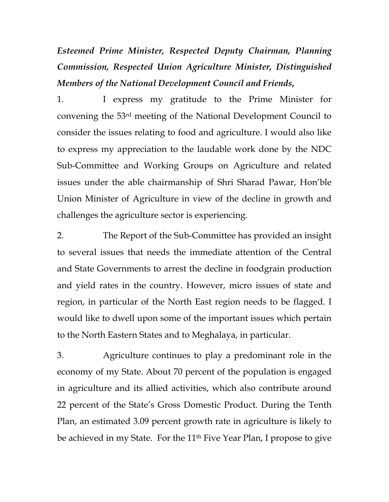*Esteemed Prime Minister, Respected Deputy Chairman, Planning Commission, Respected Union Agriculture Minister, Distinguished Members of the National Development Council and Friends***,** 

1. I express my gratitude to the Prime Minister for convening the 53rd meeting of the National Development Council to consider the issues relating to food and agriculture. I would also like to express my appreciation to the laudable work done by the NDC Sub-Committee and Working Groups on Agriculture and related issues under the able chairmanship of Shri Sharad Pawar, Hon'ble Union Minister of Agriculture in view of the decline in growth and challenges the agriculture sector is experiencing.

2. The Report of the Sub-Committee has provided an insight to several issues that needs the immediate attention of the Central and State Governments to arrest the decline in foodgrain production and yield rates in the country. However, micro issues of state and region, in particular of the North East region needs to be flagged. I would like to dwell upon some of the important issues which pertain to the North Eastern States and to Meghalaya, in particular.

3. Agriculture continues to play a predominant role in the economy of my State. About 70 percent of the population is engaged in agriculture and its allied activities, which also contribute around 22 percent of the State's Gross Domestic Product. During the Tenth Plan, an estimated 3.09 percent growth rate in agriculture is likely to be achieved in my State. For the 11<sup>th</sup> Five Year Plan, I propose to give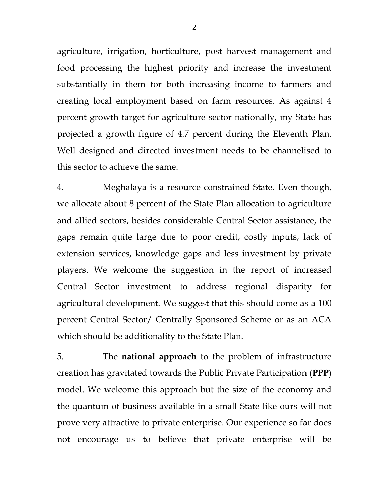agriculture, irrigation, horticulture, post harvest management and food processing the highest priority and increase the investment substantially in them for both increasing income to farmers and creating local employment based on farm resources. As against 4 percent growth target for agriculture sector nationally, my State has projected a growth figure of 4.7 percent during the Eleventh Plan. Well designed and directed investment needs to be channelised to this sector to achieve the same.

4. Meghalaya is a resource constrained State. Even though, we allocate about 8 percent of the State Plan allocation to agriculture and allied sectors, besides considerable Central Sector assistance, the gaps remain quite large due to poor credit, costly inputs, lack of extension services, knowledge gaps and less investment by private players. We welcome the suggestion in the report of increased Central Sector investment to address regional disparity for agricultural development. We suggest that this should come as a 100 percent Central Sector/ Centrally Sponsored Scheme or as an ACA which should be additionality to the State Plan.

5. The **national approach** to the problem of infrastructure creation has gravitated towards the Public Private Participation (**PPP**) model. We welcome this approach but the size of the economy and the quantum of business available in a small State like ours will not prove very attractive to private enterprise. Our experience so far does not encourage us to believe that private enterprise will be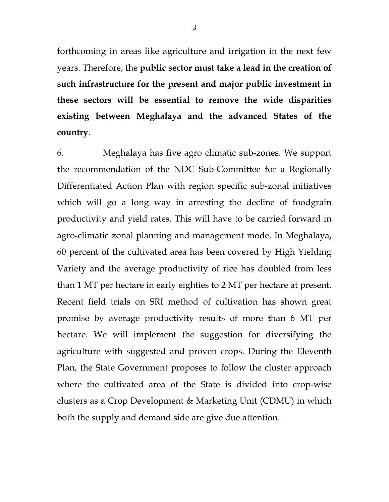forthcoming in areas like agriculture and irrigation in the next few years. Therefore, the **public sector must take a lead in the creation of such infrastructure for the present and major public investment in these sectors will be essential to remove the wide disparities existing between Meghalaya and the advanced States of the country**.

6. Meghalaya has five agro climatic sub-zones. We support the recommendation of the NDC Sub-Committee for a Regionally Differentiated Action Plan with region specific sub-zonal initiatives which will go a long way in arresting the decline of foodgrain productivity and yield rates. This will have to be carried forward in agro-climatic zonal planning and management mode. In Meghalaya, 60 percent of the cultivated area has been covered by High Yielding Variety and the average productivity of rice has doubled from less than 1 MT per hectare in early eighties to 2 MT per hectare at present. Recent field trials on SRI method of cultivation has shown great promise by average productivity results of more than 6 MT per hectare. We will implement the suggestion for diversifying the agriculture with suggested and proven crops. During the Eleventh Plan, the State Government proposes to follow the cluster approach where the cultivated area of the State is divided into crop-wise clusters as a Crop Development & Marketing Unit (CDMU) in which both the supply and demand side are give due attention.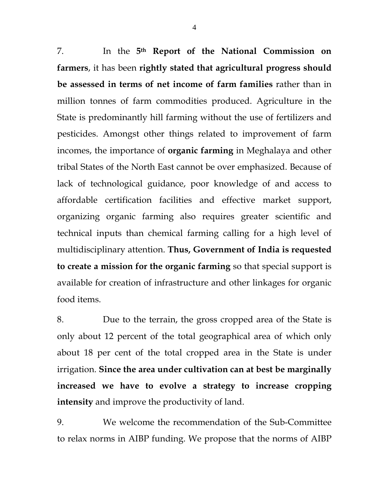7. In the **5th Report of the National Commission on farmers**, it has been **rightly stated that agricultural progress should be assessed in terms of net income of farm families** rather than in million tonnes of farm commodities produced. Agriculture in the State is predominantly hill farming without the use of fertilizers and pesticides. Amongst other things related to improvement of farm incomes, the importance of **organic farming** in Meghalaya and other tribal States of the North East cannot be over emphasized. Because of lack of technological guidance, poor knowledge of and access to affordable certification facilities and effective market support, organizing organic farming also requires greater scientific and technical inputs than chemical farming calling for a high level of multidisciplinary attention. **Thus, Government of India is requested to create a mission for the organic farming** so that special support is available for creation of infrastructure and other linkages for organic food items.

8. Due to the terrain, the gross cropped area of the State is only about 12 percent of the total geographical area of which only about 18 per cent of the total cropped area in the State is under irrigation. **Since the area under cultivation can at best be marginally increased we have to evolve a strategy to increase cropping intensity** and improve the productivity of land.

9. We welcome the recommendation of the Sub-Committee to relax norms in AIBP funding. We propose that the norms of AIBP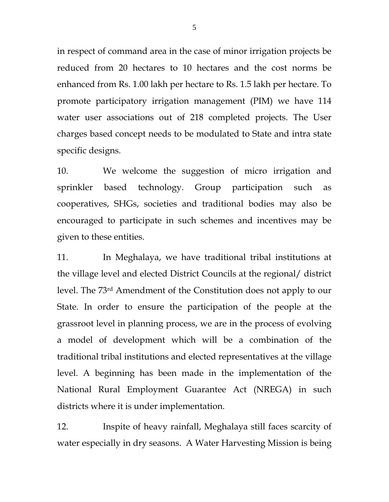in respect of command area in the case of minor irrigation projects be reduced from 20 hectares to 10 hectares and the cost norms be enhanced from Rs. 1.00 lakh per hectare to Rs. 1.5 lakh per hectare. To promote participatory irrigation management (PIM) we have 114 water user associations out of 218 completed projects. The User charges based concept needs to be modulated to State and intra state specific designs.

10. We welcome the suggestion of micro irrigation and sprinkler based technology. Group participation such as cooperatives, SHGs, societies and traditional bodies may also be encouraged to participate in such schemes and incentives may be given to these entities.

11. In Meghalaya, we have traditional tribal institutions at the village level and elected District Councils at the regional/ district level. The 73rd Amendment of the Constitution does not apply to our State. In order to ensure the participation of the people at the grassroot level in planning process, we are in the process of evolving a model of development which will be a combination of the traditional tribal institutions and elected representatives at the village level. A beginning has been made in the implementation of the National Rural Employment Guarantee Act (NREGA) in such districts where it is under implementation.

12. Inspite of heavy rainfall, Meghalaya still faces scarcity of water especially in dry seasons. A Water Harvesting Mission is being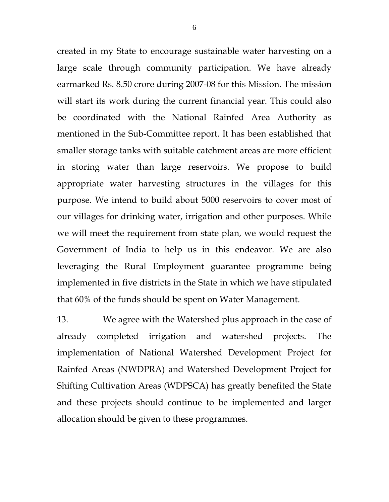created in my State to encourage sustainable water harvesting on a large scale through community participation. We have already earmarked Rs. 8.50 crore during 2007-08 for this Mission. The mission will start its work during the current financial year. This could also be coordinated with the National Rainfed Area Authority as mentioned in the Sub-Committee report. It has been established that smaller storage tanks with suitable catchment areas are more efficient in storing water than large reservoirs. We propose to build appropriate water harvesting structures in the villages for this purpose. We intend to build about 5000 reservoirs to cover most of our villages for drinking water, irrigation and other purposes. While we will meet the requirement from state plan, we would request the Government of India to help us in this endeavor. We are also leveraging the Rural Employment guarantee programme being implemented in five districts in the State in which we have stipulated that 60% of the funds should be spent on Water Management.

13. We agree with the Watershed plus approach in the case of already completed irrigation and watershed projects. The implementation of National Watershed Development Project for Rainfed Areas (NWDPRA) and Watershed Development Project for Shifting Cultivation Areas (WDPSCA) has greatly benefited the State and these projects should continue to be implemented and larger allocation should be given to these programmes.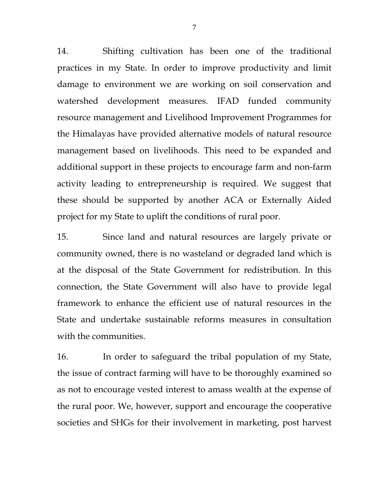14. Shifting cultivation has been one of the traditional practices in my State. In order to improve productivity and limit damage to environment we are working on soil conservation and watershed development measures. IFAD funded community resource management and Livelihood Improvement Programmes for the Himalayas have provided alternative models of natural resource management based on livelihoods. This need to be expanded and additional support in these projects to encourage farm and non-farm activity leading to entrepreneurship is required. We suggest that these should be supported by another ACA or Externally Aided project for my State to uplift the conditions of rural poor.

15. Since land and natural resources are largely private or community owned, there is no wasteland or degraded land which is at the disposal of the State Government for redistribution. In this connection, the State Government will also have to provide legal framework to enhance the efficient use of natural resources in the State and undertake sustainable reforms measures in consultation with the communities.

16. In order to safeguard the tribal population of my State, the issue of contract farming will have to be thoroughly examined so as not to encourage vested interest to amass wealth at the expense of the rural poor. We, however, support and encourage the cooperative societies and SHGs for their involvement in marketing, post harvest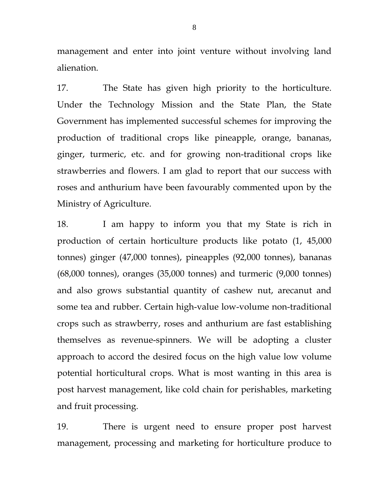management and enter into joint venture without involving land alienation.

17. The State has given high priority to the horticulture. Under the Technology Mission and the State Plan, the State Government has implemented successful schemes for improving the production of traditional crops like pineapple, orange, bananas, ginger, turmeric, etc. and for growing non-traditional crops like strawberries and flowers. I am glad to report that our success with roses and anthurium have been favourably commented upon by the Ministry of Agriculture.

18. I am happy to inform you that my State is rich in production of certain horticulture products like potato (1, 45,000 tonnes) ginger (47,000 tonnes), pineapples (92,000 tonnes), bananas (68,000 tonnes), oranges (35,000 tonnes) and turmeric (9,000 tonnes) and also grows substantial quantity of cashew nut, arecanut and some tea and rubber. Certain high-value low-volume non-traditional crops such as strawberry, roses and anthurium are fast establishing themselves as revenue-spinners. We will be adopting a cluster approach to accord the desired focus on the high value low volume potential horticultural crops. What is most wanting in this area is post harvest management, like cold chain for perishables, marketing and fruit processing.

19. There is urgent need to ensure proper post harvest management, processing and marketing for horticulture produce to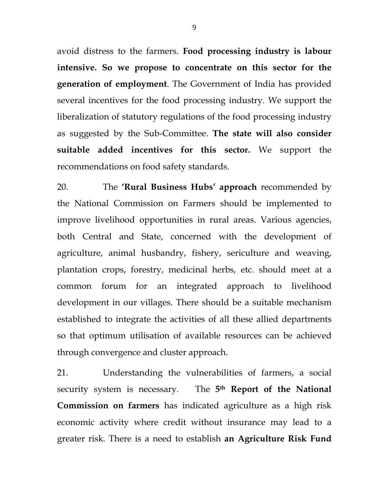avoid distress to the farmers. **Food processing industry is labour intensive. So we propose to concentrate on this sector for the generation of employment**. The Government of India has provided several incentives for the food processing industry. We support the liberalization of statutory regulations of the food processing industry as suggested by the Sub-Committee. **The state will also consider suitable added incentives for this sector.** We support the recommendations on food safety standards.

20. The **'Rural Business Hubs' approach** recommended by the National Commission on Farmers should be implemented to improve livelihood opportunities in rural areas. Various agencies, both Central and State, concerned with the development of agriculture, animal husbandry, fishery, sericulture and weaving, plantation crops, forestry, medicinal herbs, etc. should meet at a common forum for an integrated approach to livelihood development in our villages. There should be a suitable mechanism established to integrate the activities of all these allied departments so that optimum utilisation of available resources can be achieved through convergence and cluster approach.

21. Understanding the vulnerabilities of farmers, a social security system is necessary. The **5th Report of the National Commission on farmers** has indicated agriculture as a high risk economic activity where credit without insurance may lead to a greater risk. There is a need to establish **an Agriculture Risk Fund**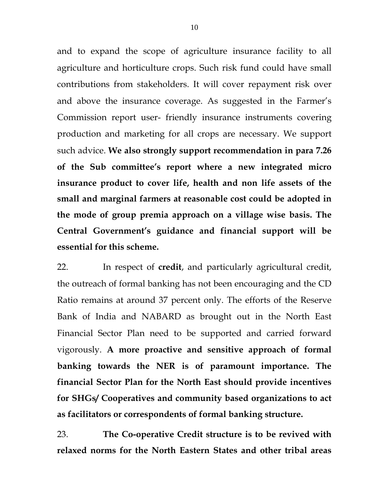and to expand the scope of agriculture insurance facility to all agriculture and horticulture crops. Such risk fund could have small contributions from stakeholders. It will cover repayment risk over and above the insurance coverage. As suggested in the Farmer's Commission report user- friendly insurance instruments covering production and marketing for all crops are necessary. We support such advice. **We also strongly support recommendation in para 7.26 of the Sub committee's report where a new integrated micro insurance product to cover life, health and non life assets of the small and marginal farmers at reasonable cost could be adopted in the mode of group premia approach on a village wise basis. The Central Government's guidance and financial support will be essential for this scheme.**

22. In respect of **credit**, and particularly agricultural credit, the outreach of formal banking has not been encouraging and the CD Ratio remains at around 37 percent only. The efforts of the Reserve Bank of India and NABARD as brought out in the North East Financial Sector Plan need to be supported and carried forward vigorously. **A more proactive and sensitive approach of formal banking towards the NER is of paramount importance. The financial Sector Plan for the North East should provide incentives for SHGs/ Cooperatives and community based organizations to act as facilitators or correspondents of formal banking structure.** 

23. **The Co-operative Credit structure is to be revived with relaxed norms for the North Eastern States and other tribal areas**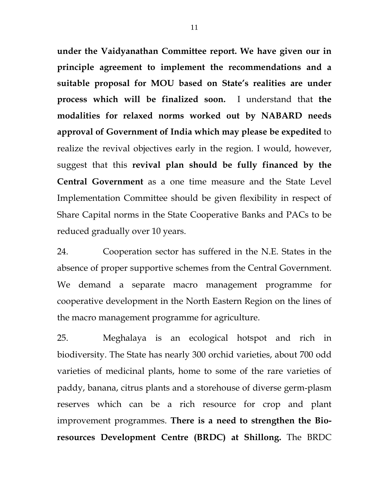**under the Vaidyanathan Committee report. We have given our in principle agreement to implement the recommendations and a suitable proposal for MOU based on State's realities are under process which will be finalized soon.** I understand that **the modalities for relaxed norms worked out by NABARD needs approval of Government of India which may please be expedited** to realize the revival objectives early in the region. I would, however, suggest that this **revival plan should be fully financed by the Central Government** as a one time measure and the State Level Implementation Committee should be given flexibility in respect of Share Capital norms in the State Cooperative Banks and PACs to be reduced gradually over 10 years.

24. Cooperation sector has suffered in the N.E. States in the absence of proper supportive schemes from the Central Government. We demand a separate macro management programme for cooperative development in the North Eastern Region on the lines of the macro management programme for agriculture.

25. Meghalaya is an ecological hotspot and rich in biodiversity. The State has nearly 300 orchid varieties, about 700 odd varieties of medicinal plants, home to some of the rare varieties of paddy, banana, citrus plants and a storehouse of diverse germ-plasm reserves which can be a rich resource for crop and plant improvement programmes. **There is a need to strengthen the Bioresources Development Centre (BRDC) at Shillong.** The BRDC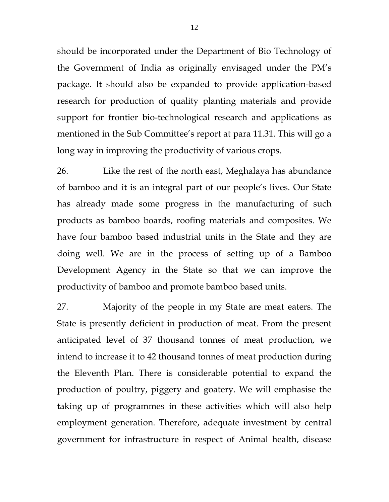should be incorporated under the Department of Bio Technology of the Government of India as originally envisaged under the PM's package. It should also be expanded to provide application-based research for production of quality planting materials and provide support for frontier bio-technological research and applications as mentioned in the Sub Committee's report at para 11.31. This will go a long way in improving the productivity of various crops.

26. Like the rest of the north east, Meghalaya has abundance of bamboo and it is an integral part of our people's lives. Our State has already made some progress in the manufacturing of such products as bamboo boards, roofing materials and composites. We have four bamboo based industrial units in the State and they are doing well. We are in the process of setting up of a Bamboo Development Agency in the State so that we can improve the productivity of bamboo and promote bamboo based units.

27. Majority of the people in my State are meat eaters. The State is presently deficient in production of meat. From the present anticipated level of 37 thousand tonnes of meat production, we intend to increase it to 42 thousand tonnes of meat production during the Eleventh Plan. There is considerable potential to expand the production of poultry, piggery and goatery. We will emphasise the taking up of programmes in these activities which will also help employment generation. Therefore, adequate investment by central government for infrastructure in respect of Animal health, disease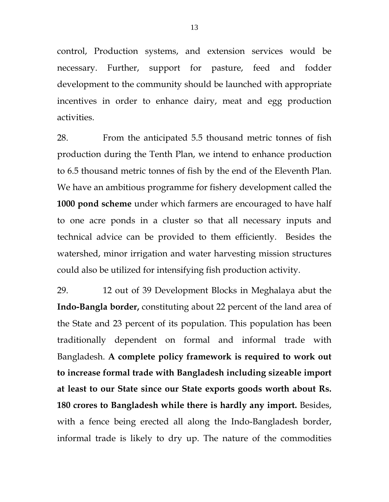control, Production systems, and extension services would be necessary. Further, support for pasture, feed and fodder development to the community should be launched with appropriate incentives in order to enhance dairy, meat and egg production activities.

28. From the anticipated 5.5 thousand metric tonnes of fish production during the Tenth Plan, we intend to enhance production to 6.5 thousand metric tonnes of fish by the end of the Eleventh Plan. We have an ambitious programme for fishery development called the **1000 pond scheme** under which farmers are encouraged to have half to one acre ponds in a cluster so that all necessary inputs and technical advice can be provided to them efficiently. Besides the watershed, minor irrigation and water harvesting mission structures could also be utilized for intensifying fish production activity.

29. 12 out of 39 Development Blocks in Meghalaya abut the **Indo-Bangla border,** constituting about 22 percent of the land area of the State and 23 percent of its population. This population has been traditionally dependent on formal and informal trade with Bangladesh. **A complete policy framework is required to work out to increase formal trade with Bangladesh including sizeable import at least to our State since our State exports goods worth about Rs. 180 crores to Bangladesh while there is hardly any import.** Besides, with a fence being erected all along the Indo-Bangladesh border, informal trade is likely to dry up. The nature of the commodities